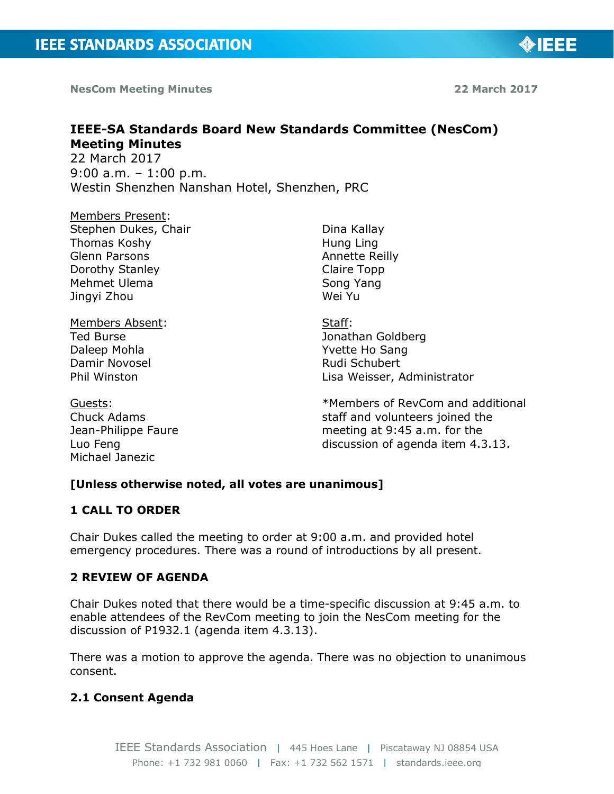**NesCom Meeting Minutes 22 March 2017**

**IEEE-SA Standards Board New Standards Committee (NesCom) Meeting Minutes** 

> Dina Kallay Hung Ling Annette Reilly Claire Topp Song Yang Wei Yu

Staff:

Jonathan Goldberg Yvette Ho Sang Rudi Schubert

22 March 2017 9:00 a.m. – 1:00 p.m. Westin Shenzhen Nanshan Hotel, Shenzhen, PRC

Members Present: Stephen Dukes, Chair Thomas Koshy Glenn Parsons Dorothy Stanley Mehmet Ulema Jingyi Zhou

Members Absent: Ted Burse Daleep Mohla Damir Novosel Phil Winston

Guests: Chuck Adams Jean-Philippe Faure Luo Feng Michael Janezic

\*Members of RevCom and additional staff and volunteers joined the meeting at 9:45 a.m. for the discussion of agenda item 4.3.13.

Lisa Weisser, Administrator

# **[Unless otherwise noted, all votes are unanimous]**

# **1 CALL TO ORDER**

Chair Dukes called the meeting to order at 9:00 a.m. and provided hotel emergency procedures. There was a round of introductions by all present.

# **2 REVIEW OF AGENDA**

Chair Dukes noted that there would be a time-specific discussion at 9:45 a.m. to enable attendees of the RevCom meeting to join the NesCom meeting for the discussion of P1932.1 (agenda item 4.3.13).

There was a motion to approve the agenda. There was no objection to unanimous consent.

# **2.1 Consent Agenda**

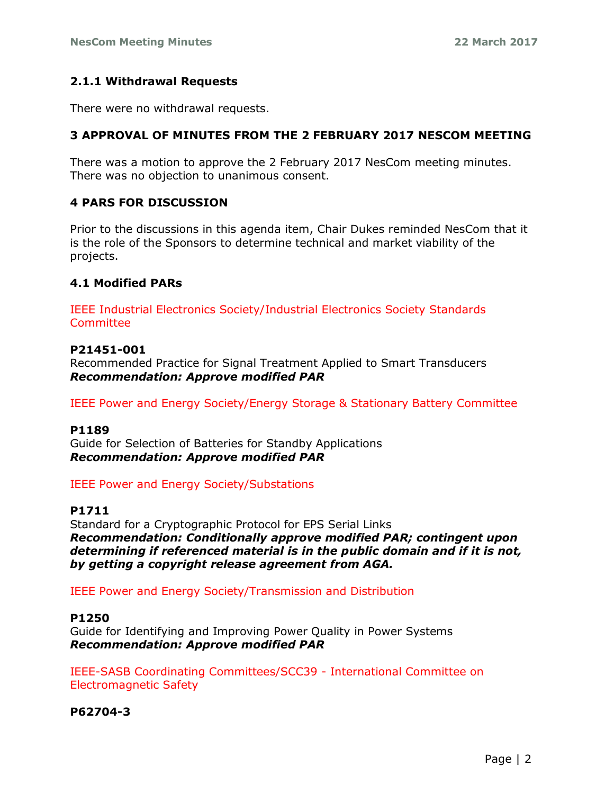## **2.1.1 Withdrawal Requests**

There were no withdrawal requests.

# **3 APPROVAL OF MINUTES FROM THE 2 FEBRUARY 2017 NESCOM MEETING**

There was a motion to approve the 2 February 2017 NesCom meeting minutes. There was no objection to unanimous consent.

## **4 PARS FOR DISCUSSION**

Prior to the discussions in this agenda item, Chair Dukes reminded NesCom that it is the role of the Sponsors to determine technical and market viability of the projects.

## **4.1 Modified PARs**

IEEE Industrial Electronics Society/Industrial Electronics Society Standards **Committee** 

## **P21451-001**

Recommended Practice for Signal Treatment Applied to Smart Transducers *Recommendation: Approve modified PAR*

IEEE Power and Energy Society/Energy Storage & Stationary Battery Committee

## **P1189**

Guide for Selection of Batteries for Standby Applications *Recommendation: Approve modified PAR*

## IEEE Power and Energy Society/Substations

## **P1711**

Standard for a Cryptographic Protocol for EPS Serial Links *Recommendation: Conditionally approve modified PAR; contingent upon determining if referenced material is in the public domain and if it is not, by getting a copyright release agreement from AGA.*

IEEE Power and Energy Society/Transmission and Distribution

#### **P1250**

Guide for Identifying and Improving Power Quality in Power Systems *Recommendation: Approve modified PAR*

IEEE-SASB Coordinating Committees/SCC39 - International Committee on Electromagnetic Safety

## **P62704-3**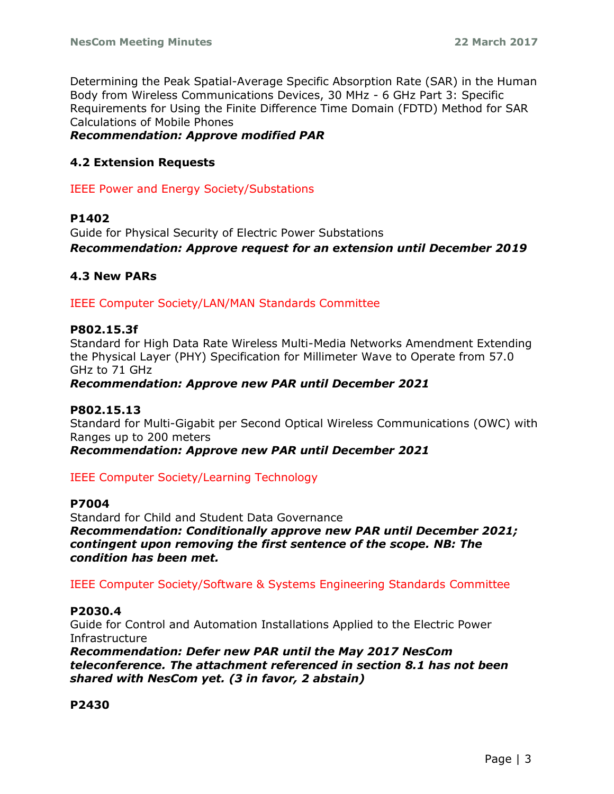Determining the Peak Spatial-Average Specific Absorption Rate (SAR) in the Human Body from Wireless Communications Devices, 30 MHz - 6 GHz Part 3: Specific Requirements for Using the Finite Difference Time Domain (FDTD) Method for SAR Calculations of Mobile Phones

*Recommendation: Approve modified PAR*

## **4.2 Extension Requests**

IEEE Power and Energy Society/Substations

## **P1402**

Guide for Physical Security of Electric Power Substations *Recommendation: Approve request for an extension until December 2019*

## **4.3 New PARs**

IEEE Computer Society/LAN/MAN Standards Committee

## **P802.15.3f**

Standard for High Data Rate Wireless Multi-Media Networks Amendment Extending the Physical Layer (PHY) Specification for Millimeter Wave to Operate from 57.0 GHz to 71 GHz

## *Recommendation: Approve new PAR until December 2021*

## **P802.15.13**

Standard for Multi-Gigabit per Second Optical Wireless Communications (OWC) with Ranges up to 200 meters

*Recommendation: Approve new PAR until December 2021*

## IEEE Computer Society/Learning Technology

## **P7004**

Standard for Child and Student Data Governance *Recommendation: Conditionally approve new PAR until December 2021; contingent upon removing the first sentence of the scope. NB: The condition has been met.*

## IEEE Computer Society/Software & Systems Engineering Standards Committee

## **P2030.4**

Guide for Control and Automation Installations Applied to the Electric Power Infrastructure

*Recommendation: Defer new PAR until the May 2017 NesCom teleconference. The attachment referenced in section 8.1 has not been shared with NesCom yet. (3 in favor, 2 abstain)*

## **P2430**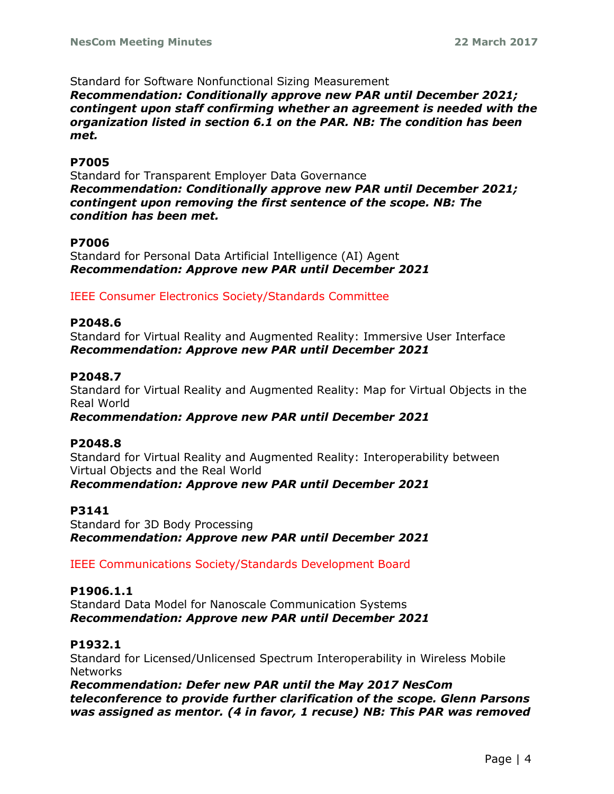Standard for Software Nonfunctional Sizing Measurement

*Recommendation: Conditionally approve new PAR until December 2021; contingent upon staff confirming whether an agreement is needed with the organization listed in section 6.1 on the PAR. NB: The condition has been met.*

#### **P7005**

Standard for Transparent Employer Data Governance *Recommendation: Conditionally approve new PAR until December 2021; contingent upon removing the first sentence of the scope. NB: The condition has been met.*

## **P7006**

Standard for Personal Data Artificial Intelligence (AI) Agent *Recommendation: Approve new PAR until December 2021*

IEEE Consumer Electronics Society/Standards Committee

#### **P2048.6**

Standard for Virtual Reality and Augmented Reality: Immersive User Interface *Recommendation: Approve new PAR until December 2021*

#### **P2048.7**

Standard for Virtual Reality and Augmented Reality: Map for Virtual Objects in the Real World

#### *Recommendation: Approve new PAR until December 2021*

#### **P2048.8**

Standard for Virtual Reality and Augmented Reality: Interoperability between Virtual Objects and the Real World *Recommendation: Approve new PAR until December 2021*

#### **P3141**

Standard for 3D Body Processing *Recommendation: Approve new PAR until December 2021*

IEEE Communications Society/Standards Development Board

## **P1906.1.1**

Standard Data Model for Nanoscale Communication Systems *Recommendation: Approve new PAR until December 2021*

#### **P1932.1**

Standard for Licensed/Unlicensed Spectrum Interoperability in Wireless Mobile Networks

*Recommendation: Defer new PAR until the May 2017 NesCom teleconference to provide further clarification of the scope. Glenn Parsons was assigned as mentor. (4 in favor, 1 recuse) NB: This PAR was removed*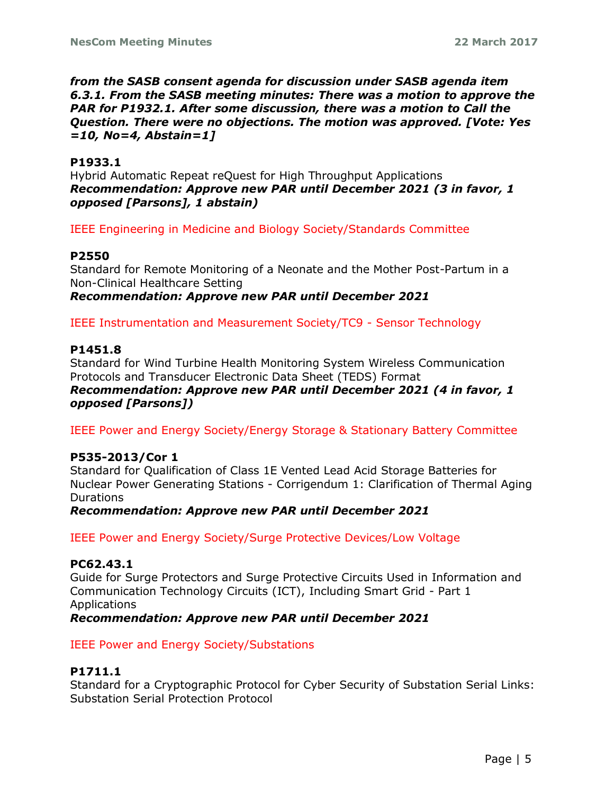*from the SASB consent agenda for discussion under SASB agenda item 6.3.1. From the SASB meeting minutes: There was a motion to approve the PAR for P1932.1. After some discussion, there was a motion to Call the Question. There were no objections. The motion was approved. [Vote: Yes =10, No=4, Abstain=1]*

## **P1933.1**

Hybrid Automatic Repeat reQuest for High Throughput Applications *Recommendation: Approve new PAR until December 2021 (3 in favor, 1 opposed [Parsons], 1 abstain)*

IEEE Engineering in Medicine and Biology Society/Standards Committee

## **P2550**

Standard for Remote Monitoring of a Neonate and the Mother Post-Partum in a Non-Clinical Healthcare Setting *Recommendation: Approve new PAR until December 2021*

IEEE Instrumentation and Measurement Society/TC9 - Sensor Technology

## **P1451.8**

Standard for Wind Turbine Health Monitoring System Wireless Communication Protocols and Transducer Electronic Data Sheet (TEDS) Format *Recommendation: Approve new PAR until December 2021 (4 in favor, 1 opposed [Parsons])*

IEEE Power and Energy Society/Energy Storage & Stationary Battery Committee

## **P535-2013/Cor 1**

Standard for Qualification of Class 1E Vented Lead Acid Storage Batteries for Nuclear Power Generating Stations - Corrigendum 1: Clarification of Thermal Aging **Durations** 

*Recommendation: Approve new PAR until December 2021*

IEEE Power and Energy Society/Surge Protective Devices/Low Voltage

## **PC62.43.1**

Guide for Surge Protectors and Surge Protective Circuits Used in Information and Communication Technology Circuits (ICT), Including Smart Grid - Part 1 Applications *Recommendation: Approve new PAR until December 2021*

IEEE Power and Energy Society/Substations

# **P1711.1**

Standard for a Cryptographic Protocol for Cyber Security of Substation Serial Links: Substation Serial Protection Protocol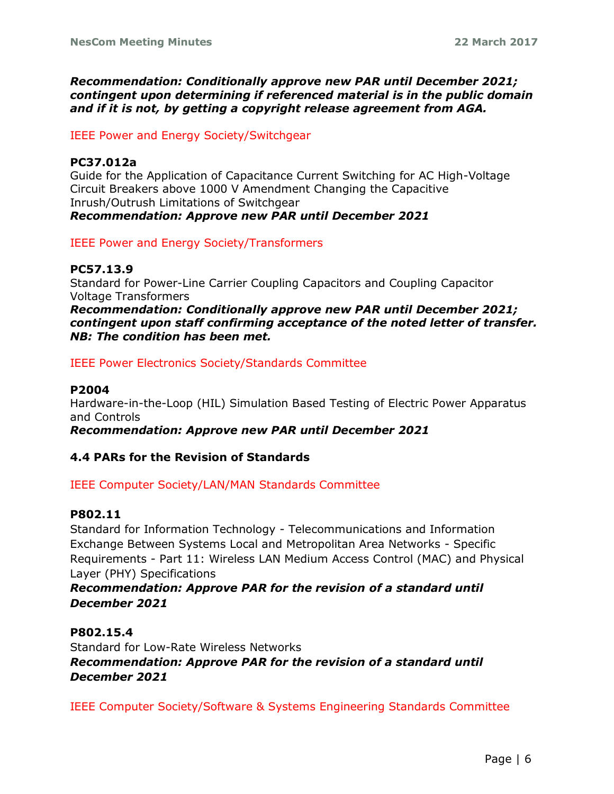*Recommendation: Conditionally approve new PAR until December 2021; contingent upon determining if referenced material is in the public domain and if it is not, by getting a copyright release agreement from AGA.*

IEEE Power and Energy Society/Switchgear

## **PC37.012a**

Guide for the Application of Capacitance Current Switching for AC High-Voltage Circuit Breakers above 1000 V Amendment Changing the Capacitive Inrush/Outrush Limitations of Switchgear *Recommendation: Approve new PAR until December 2021*

IEEE Power and Energy Society/Transformers

## **PC57.13.9**

Standard for Power-Line Carrier Coupling Capacitors and Coupling Capacitor Voltage Transformers

*Recommendation: Conditionally approve new PAR until December 2021; contingent upon staff confirming acceptance of the noted letter of transfer. NB: The condition has been met.*

IEEE Power Electronics Society/Standards Committee

## **P2004**

Hardware-in-the-Loop (HIL) Simulation Based Testing of Electric Power Apparatus and Controls

*Recommendation: Approve new PAR until December 2021*

## **4.4 PARs for the Revision of Standards**

IEEE Computer Society/LAN/MAN Standards Committee

## **P802.11**

Standard for Information Technology - Telecommunications and Information Exchange Between Systems Local and Metropolitan Area Networks - Specific Requirements - Part 11: Wireless LAN Medium Access Control (MAC) and Physical Layer (PHY) Specifications

## *Recommendation: Approve PAR for the revision of a standard until December 2021*

**P802.15.4** Standard for Low-Rate Wireless Networks *Recommendation: Approve PAR for the revision of a standard until December 2021*

IEEE Computer Society/Software & Systems Engineering Standards Committee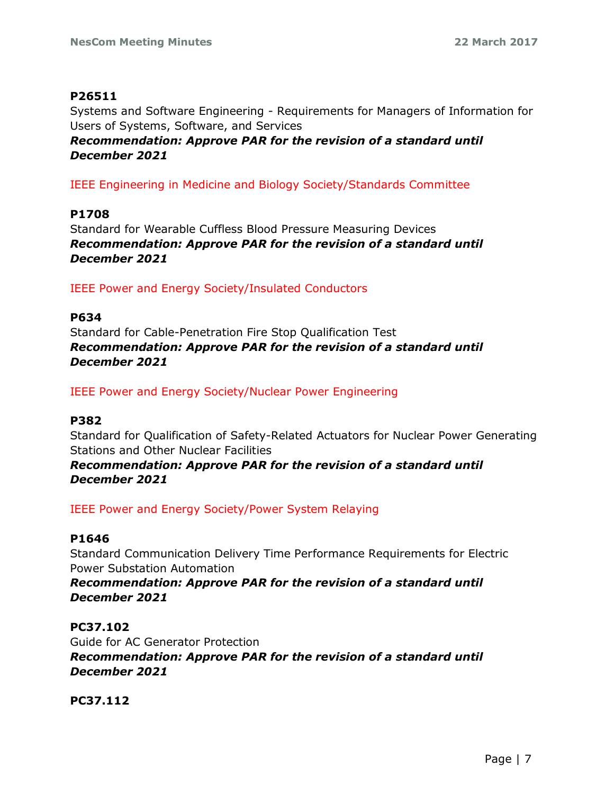## **P26511**

Systems and Software Engineering - Requirements for Managers of Information for Users of Systems, Software, and Services

*Recommendation: Approve PAR for the revision of a standard until December 2021*

IEEE Engineering in Medicine and Biology Society/Standards Committee

**P1708** Standard for Wearable Cuffless Blood Pressure Measuring Devices *Recommendation: Approve PAR for the revision of a standard until December 2021*

IEEE Power and Energy Society/Insulated Conductors

## **P634**

Standard for Cable-Penetration Fire Stop Qualification Test *Recommendation: Approve PAR for the revision of a standard until December 2021*

IEEE Power and Energy Society/Nuclear Power Engineering

## **P382**

Standard for Qualification of Safety-Related Actuators for Nuclear Power Generating Stations and Other Nuclear Facilities

*Recommendation: Approve PAR for the revision of a standard until December 2021*

IEEE Power and Energy Society/Power System Relaying

## **P1646**

Standard Communication Delivery Time Performance Requirements for Electric Power Substation Automation

*Recommendation: Approve PAR for the revision of a standard until December 2021*

## **PC37.102**

Guide for AC Generator Protection *Recommendation: Approve PAR for the revision of a standard until December 2021*

**PC37.112**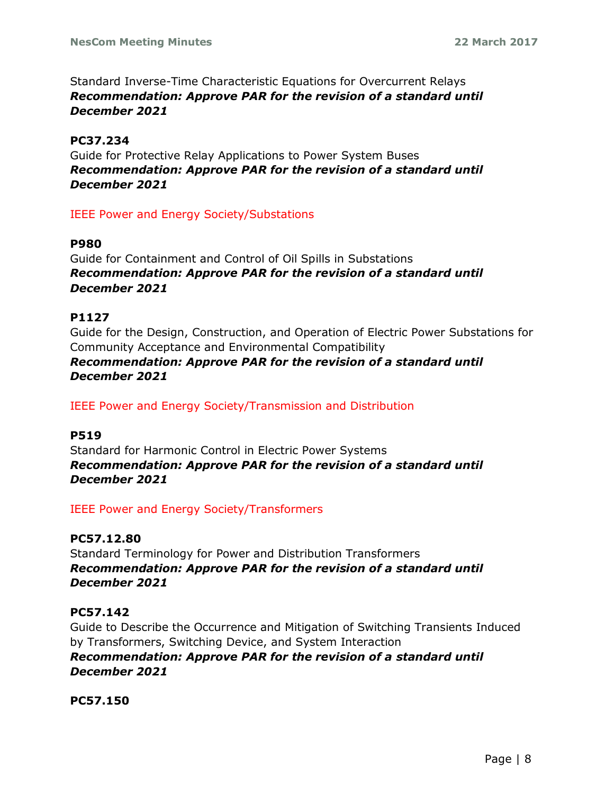Standard Inverse-Time Characteristic Equations for Overcurrent Relays *Recommendation: Approve PAR for the revision of a standard until December 2021*

# **PC37.234**

Guide for Protective Relay Applications to Power System Buses *Recommendation: Approve PAR for the revision of a standard until December 2021*

# IEEE Power and Energy Society/Substations

## **P980**

Guide for Containment and Control of Oil Spills in Substations *Recommendation: Approve PAR for the revision of a standard until December 2021*

# **P1127**

Guide for the Design, Construction, and Operation of Electric Power Substations for Community Acceptance and Environmental Compatibility *Recommendation: Approve PAR for the revision of a standard until December 2021*

IEEE Power and Energy Society/Transmission and Distribution

# **P519**

Standard for Harmonic Control in Electric Power Systems *Recommendation: Approve PAR for the revision of a standard until December 2021*

IEEE Power and Energy Society/Transformers

# **PC57.12.80**

Standard Terminology for Power and Distribution Transformers *Recommendation: Approve PAR for the revision of a standard until December 2021*

# **PC57.142**

Guide to Describe the Occurrence and Mitigation of Switching Transients Induced by Transformers, Switching Device, and System Interaction

*Recommendation: Approve PAR for the revision of a standard until December 2021*

**PC57.150**